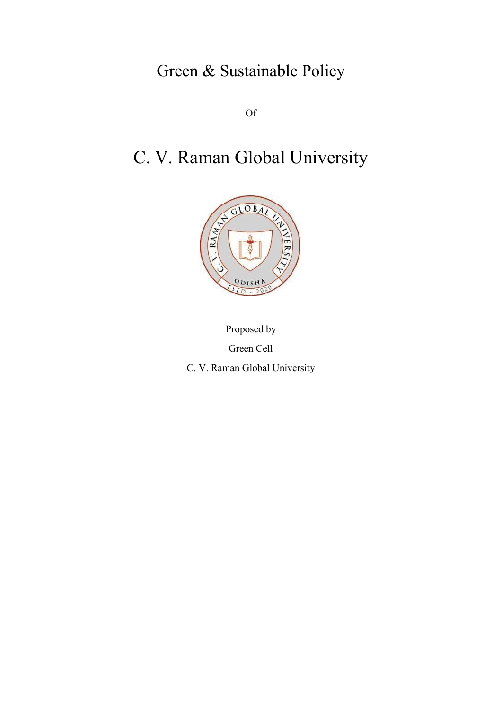Green & Sustainable Policy

Of

# C. V. Raman Global University



Proposed by Green Cell C. V. Raman Global University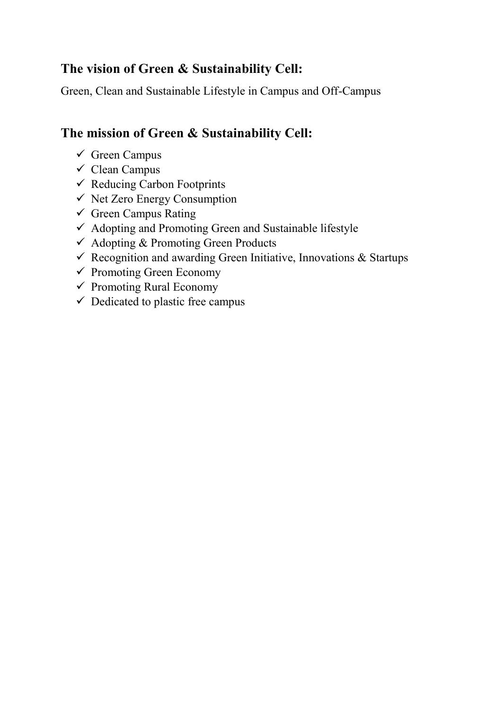### **The vision of Green & Sustainability Cell:**

Green, Clean and Sustainable Lifestyle in Campus and Off-Campus

### **The mission of Green & Sustainability Cell:**

- $\checkmark$  Green Campus
- $\checkmark$  Clean Campus
- $\checkmark$  Reducing Carbon Footprints
- $\checkmark$  Net Zero Energy Consumption
- $\checkmark$  Green Campus Rating
- $\checkmark$  Adopting and Promoting Green and Sustainable lifestyle
- $\checkmark$  Adopting & Promoting Green Products
- $\checkmark$  Recognition and awarding Green Initiative, Innovations & Startups
- $\checkmark$  Promoting Green Economy
- $\checkmark$  Promoting Rural Economy
- $\checkmark$  Dedicated to plastic free campus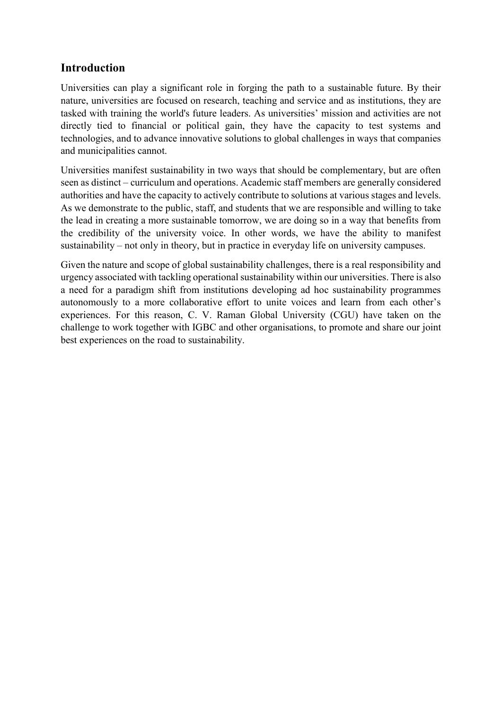### **Introduction**

Universities can play a significant role in forging the path to a sustainable future. By their nature, universities are focused on research, teaching and service and as institutions, they are tasked with training the world's future leaders. As universities' mission and activities are not directly tied to financial or political gain, they have the capacity to test systems and technologies, and to advance innovative solutions to global challenges in ways that companies and municipalities cannot.

Universities manifest sustainability in two ways that should be complementary, but are often seen as distinct – curriculum and operations. Academic staff members are generally considered authorities and have the capacity to actively contribute to solutions at various stages and levels. As we demonstrate to the public, staff, and students that we are responsible and willing to take the lead in creating a more sustainable tomorrow, we are doing so in a way that benefits from the credibility of the university voice. In other words, we have the ability to manifest sustainability – not only in theory, but in practice in everyday life on university campuses.

Given the nature and scope of global sustainability challenges, there is a real responsibility and urgency associated with tackling operational sustainability within our universities. There is also a need for a paradigm shift from institutions developing ad hoc sustainability programmes autonomously to a more collaborative effort to unite voices and learn from each other's experiences. For this reason, C. V. Raman Global University (CGU) have taken on the challenge to work together with IGBC and other organisations, to promote and share our joint best experiences on the road to sustainability.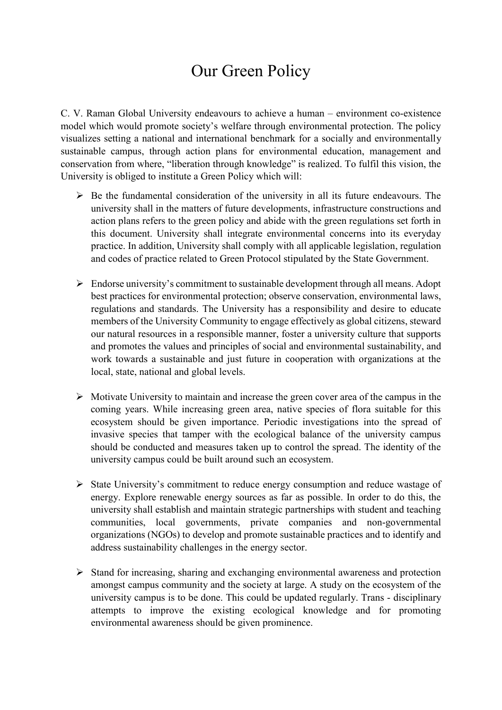# Our Green Policy

C. V. Raman Global University endeavours to achieve a human – environment co-existence model which would promote society's welfare through environmental protection. The policy visualizes setting a national and international benchmark for a socially and environmentally sustainable campus, through action plans for environmental education, management and conservation from where, "liberation through knowledge" is realized. To fulfil this vision, the University is obliged to institute a Green Policy which will:

- $\triangleright$  Be the fundamental consideration of the university in all its future endeavours. The university shall in the matters of future developments, infrastructure constructions and action plans refers to the green policy and abide with the green regulations set forth in this document. University shall integrate environmental concerns into its everyday practice. In addition, University shall comply with all applicable legislation, regulation and codes of practice related to Green Protocol stipulated by the State Government.
- $\triangleright$  Endorse university's commitment to sustainable development through all means. Adopt best practices for environmental protection; observe conservation, environmental laws, regulations and standards. The University has a responsibility and desire to educate members of the University Community to engage effectively as global citizens, steward our natural resources in a responsible manner, foster a university culture that supports and promotes the values and principles of social and environmental sustainability, and work towards a sustainable and just future in cooperation with organizations at the local, state, national and global levels.
- $\triangleright$  Motivate University to maintain and increase the green cover area of the campus in the coming years. While increasing green area, native species of flora suitable for this ecosystem should be given importance. Periodic investigations into the spread of invasive species that tamper with the ecological balance of the university campus should be conducted and measures taken up to control the spread. The identity of the university campus could be built around such an ecosystem.
- $\triangleright$  State University's commitment to reduce energy consumption and reduce wastage of energy. Explore renewable energy sources as far as possible. In order to do this, the university shall establish and maintain strategic partnerships with student and teaching communities, local governments, private companies and non-governmental organizations (NGOs) to develop and promote sustainable practices and to identify and address sustainability challenges in the energy sector.
- $\triangleright$  Stand for increasing, sharing and exchanging environmental awareness and protection amongst campus community and the society at large. A study on the ecosystem of the university campus is to be done. This could be updated regularly. Trans - disciplinary attempts to improve the existing ecological knowledge and for promoting environmental awareness should be given prominence.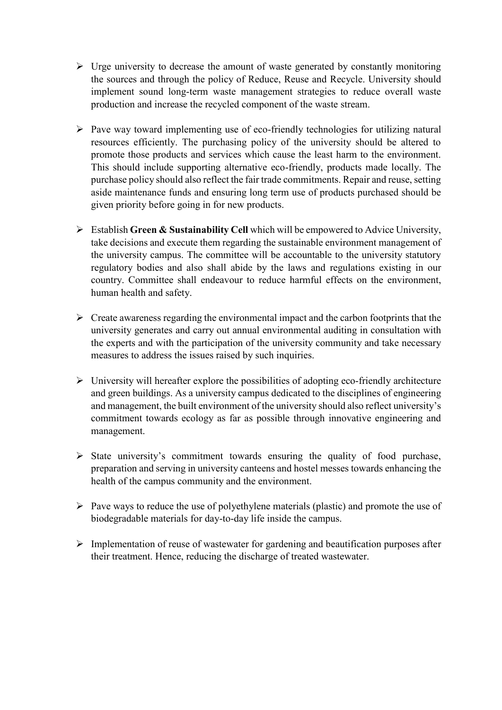- $\triangleright$  Urge university to decrease the amount of waste generated by constantly monitoring the sources and through the policy of Reduce, Reuse and Recycle. University should implement sound long-term waste management strategies to reduce overall waste production and increase the recycled component of the waste stream.
- $\triangleright$  Pave way toward implementing use of eco-friendly technologies for utilizing natural resources efficiently. The purchasing policy of the university should be altered to promote those products and services which cause the least harm to the environment. This should include supporting alternative eco-friendly, products made locally. The purchase policy should also reflect the fair trade commitments. Repair and reuse, setting aside maintenance funds and ensuring long term use of products purchased should be given priority before going in for new products.
- Establish **Green & Sustainability Cell** which will be empowered to Advice University, take decisions and execute them regarding the sustainable environment management of the university campus. The committee will be accountable to the university statutory regulatory bodies and also shall abide by the laws and regulations existing in our country. Committee shall endeavour to reduce harmful effects on the environment, human health and safety.
- $\triangleright$  Create awareness regarding the environmental impact and the carbon footprints that the university generates and carry out annual environmental auditing in consultation with the experts and with the participation of the university community and take necessary measures to address the issues raised by such inquiries.
- $\triangleright$  University will hereafter explore the possibilities of adopting eco-friendly architecture and green buildings. As a university campus dedicated to the disciplines of engineering and management, the built environment of the university should also reflect university's commitment towards ecology as far as possible through innovative engineering and management.
- $\triangleright$  State university's commitment towards ensuring the quality of food purchase, preparation and serving in university canteens and hostel messes towards enhancing the health of the campus community and the environment.
- $\triangleright$  Pave ways to reduce the use of polyethylene materials (plastic) and promote the use of biodegradable materials for day-to-day life inside the campus.
- $\triangleright$  Implementation of reuse of wastewater for gardening and beautification purposes after their treatment. Hence, reducing the discharge of treated wastewater.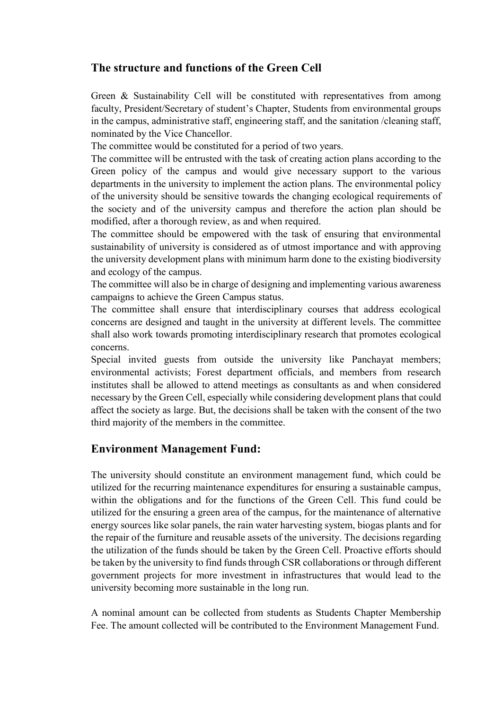### **The structure and functions of the Green Cell**

Green & Sustainability Cell will be constituted with representatives from among faculty, President/Secretary of student's Chapter, Students from environmental groups in the campus, administrative staff, engineering staff, and the sanitation /cleaning staff, nominated by the Vice Chancellor.

The committee would be constituted for a period of two years.

The committee will be entrusted with the task of creating action plans according to the Green policy of the campus and would give necessary support to the various departments in the university to implement the action plans. The environmental policy of the university should be sensitive towards the changing ecological requirements of the society and of the university campus and therefore the action plan should be modified, after a thorough review, as and when required.

The committee should be empowered with the task of ensuring that environmental sustainability of university is considered as of utmost importance and with approving the university development plans with minimum harm done to the existing biodiversity and ecology of the campus.

The committee will also be in charge of designing and implementing various awareness campaigns to achieve the Green Campus status.

The committee shall ensure that interdisciplinary courses that address ecological concerns are designed and taught in the university at different levels. The committee shall also work towards promoting interdisciplinary research that promotes ecological concerns.

Special invited guests from outside the university like Panchayat members; environmental activists; Forest department officials, and members from research institutes shall be allowed to attend meetings as consultants as and when considered necessary by the Green Cell, especially while considering development plans that could affect the society as large. But, the decisions shall be taken with the consent of the two third majority of the members in the committee.

#### **Environment Management Fund:**

The university should constitute an environment management fund, which could be utilized for the recurring maintenance expenditures for ensuring a sustainable campus, within the obligations and for the functions of the Green Cell. This fund could be utilized for the ensuring a green area of the campus, for the maintenance of alternative energy sources like solar panels, the rain water harvesting system, biogas plants and for the repair of the furniture and reusable assets of the university. The decisions regarding the utilization of the funds should be taken by the Green Cell. Proactive efforts should be taken by the university to find funds through CSR collaborations or through different government projects for more investment in infrastructures that would lead to the university becoming more sustainable in the long run.

A nominal amount can be collected from students as Students Chapter Membership Fee. The amount collected will be contributed to the Environment Management Fund.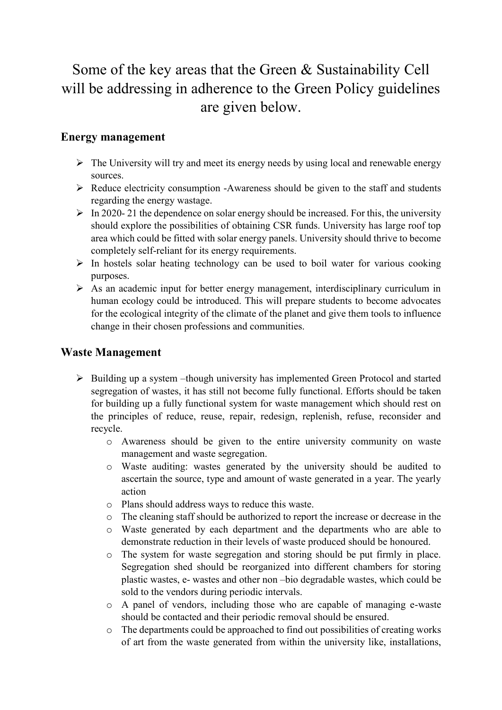## Some of the key areas that the Green & Sustainability Cell will be addressing in adherence to the Green Policy guidelines are given below.

### **Energy management**

- $\triangleright$  The University will try and meet its energy needs by using local and renewable energy sources.
- $\triangleright$  Reduce electricity consumption -Awareness should be given to the staff and students regarding the energy wastage.
- $\triangleright$  In 2020-21 the dependence on solar energy should be increased. For this, the university should explore the possibilities of obtaining CSR funds. University has large roof top area which could be fitted with solar energy panels. University should thrive to become completely self-reliant for its energy requirements.
- $\triangleright$  In hostels solar heating technology can be used to boil water for various cooking purposes.
- $\triangleright$  As an academic input for better energy management, interdisciplinary curriculum in human ecology could be introduced. This will prepare students to become advocates for the ecological integrity of the climate of the planet and give them tools to influence change in their chosen professions and communities.

### **Waste Management**

- $\triangleright$  Building up a system –though university has implemented Green Protocol and started segregation of wastes, it has still not become fully functional. Efforts should be taken for building up a fully functional system for waste management which should rest on the principles of reduce, reuse, repair, redesign, replenish, refuse, reconsider and recycle.
	- o Awareness should be given to the entire university community on waste management and waste segregation.
	- o Waste auditing: wastes generated by the university should be audited to ascertain the source, type and amount of waste generated in a year. The yearly action
	- o Plans should address ways to reduce this waste.
	- $\circ$  The cleaning staff should be authorized to report the increase or decrease in the
	- o Waste generated by each department and the departments who are able to demonstrate reduction in their levels of waste produced should be honoured.
	- o The system for waste segregation and storing should be put firmly in place. Segregation shed should be reorganized into different chambers for storing plastic wastes, e- wastes and other non –bio degradable wastes, which could be sold to the vendors during periodic intervals.
	- o A panel of vendors, including those who are capable of managing e-waste should be contacted and their periodic removal should be ensured.
	- o The departments could be approached to find out possibilities of creating works of art from the waste generated from within the university like, installations,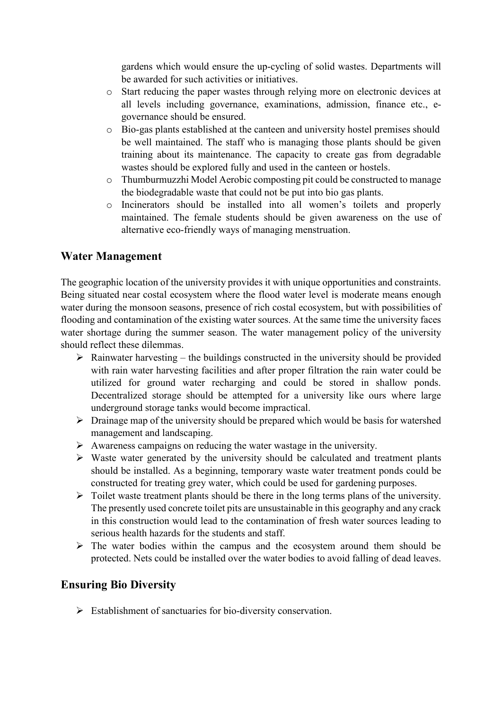gardens which would ensure the up-cycling of solid wastes. Departments will be awarded for such activities or initiatives.

- o Start reducing the paper wastes through relying more on electronic devices at all levels including governance, examinations, admission, finance etc., egovernance should be ensured.
- o Bio-gas plants established at the canteen and university hostel premises should be well maintained. The staff who is managing those plants should be given training about its maintenance. The capacity to create gas from degradable wastes should be explored fully and used in the canteen or hostels.
- o Thumburmuzzhi Model Aerobic composting pit could be constructed to manage the biodegradable waste that could not be put into bio gas plants.
- o Incinerators should be installed into all women's toilets and properly maintained. The female students should be given awareness on the use of alternative eco-friendly ways of managing menstruation.

### **Water Management**

The geographic location of the university provides it with unique opportunities and constraints. Being situated near costal ecosystem where the flood water level is moderate means enough water during the monsoon seasons, presence of rich costal ecosystem, but with possibilities of flooding and contamination of the existing water sources. At the same time the university faces water shortage during the summer season. The water management policy of the university should reflect these dilemmas.

- $\triangleright$  Rainwater harvesting the buildings constructed in the university should be provided with rain water harvesting facilities and after proper filtration the rain water could be utilized for ground water recharging and could be stored in shallow ponds. Decentralized storage should be attempted for a university like ours where large underground storage tanks would become impractical.
- $\triangleright$  Drainage map of the university should be prepared which would be basis for watershed management and landscaping.
- $\triangleright$  Awareness campaigns on reducing the water wastage in the university.
- $\triangleright$  Waste water generated by the university should be calculated and treatment plants should be installed. As a beginning, temporary waste water treatment ponds could be constructed for treating grey water, which could be used for gardening purposes.
- $\triangleright$  Toilet waste treatment plants should be there in the long terms plans of the university. The presently used concrete toilet pits are unsustainable in this geography and any crack in this construction would lead to the contamination of fresh water sources leading to serious health hazards for the students and staff.
- $\triangleright$  The water bodies within the campus and the ecosystem around them should be protected. Nets could be installed over the water bodies to avoid falling of dead leaves.

### **Ensuring Bio Diversity**

 $\triangleright$  Establishment of sanctuaries for bio-diversity conservation.